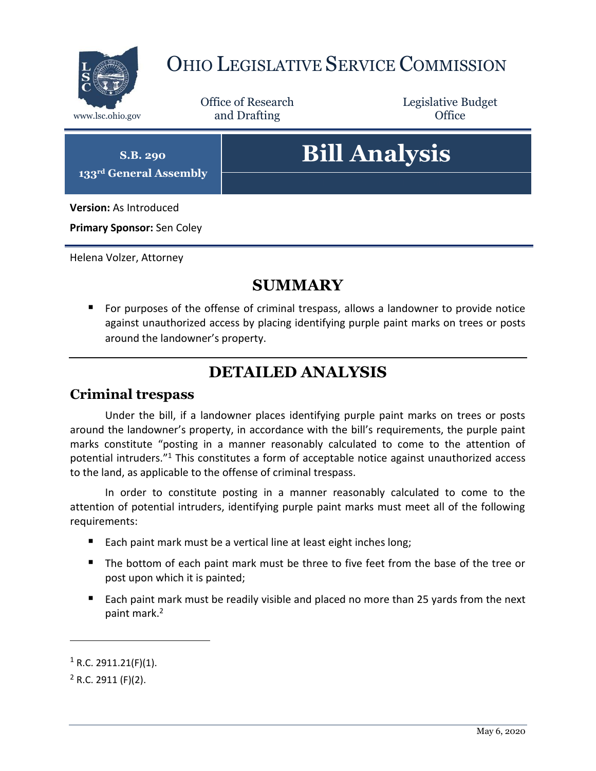

# OHIO LEGISLATIVE SERVICE COMMISSION

Office of Research www.lsc.ohio.gov **and Drafting Office** 

Legislative Budget

**S.B. 290 133rd General Assembly**

# **Bill Analysis**

**Version:** As Introduced

**Primary Sponsor:** Sen Coley

Helena Volzer, Attorney

### **SUMMARY**

 For purposes of the offense of criminal trespass, allows a landowner to provide notice against unauthorized access by placing identifying purple paint marks on trees or posts around the landowner's property.

## **DETAILED ANALYSIS**

#### **Criminal trespass**

Under the bill, if a landowner places identifying purple paint marks on trees or posts around the landowner's property, in accordance with the bill's requirements, the purple paint marks constitute "posting in a manner reasonably calculated to come to the attention of potential intruders." <sup>1</sup> This constitutes a form of acceptable notice against unauthorized access to the land, as applicable to the offense of criminal trespass.

In order to constitute posting in a manner reasonably calculated to come to the attention of potential intruders, identifying purple paint marks must meet all of the following requirements:

- Each paint mark must be a vertical line at least eight inches long;
- The bottom of each paint mark must be three to five feet from the base of the tree or post upon which it is painted;
- Each paint mark must be readily visible and placed no more than 25 yards from the next paint mark.<sup>2</sup>

 $\overline{a}$ 

 $1$  R.C. 2911.21(F)(1).

 $2$  R.C. 2911 (F)(2).